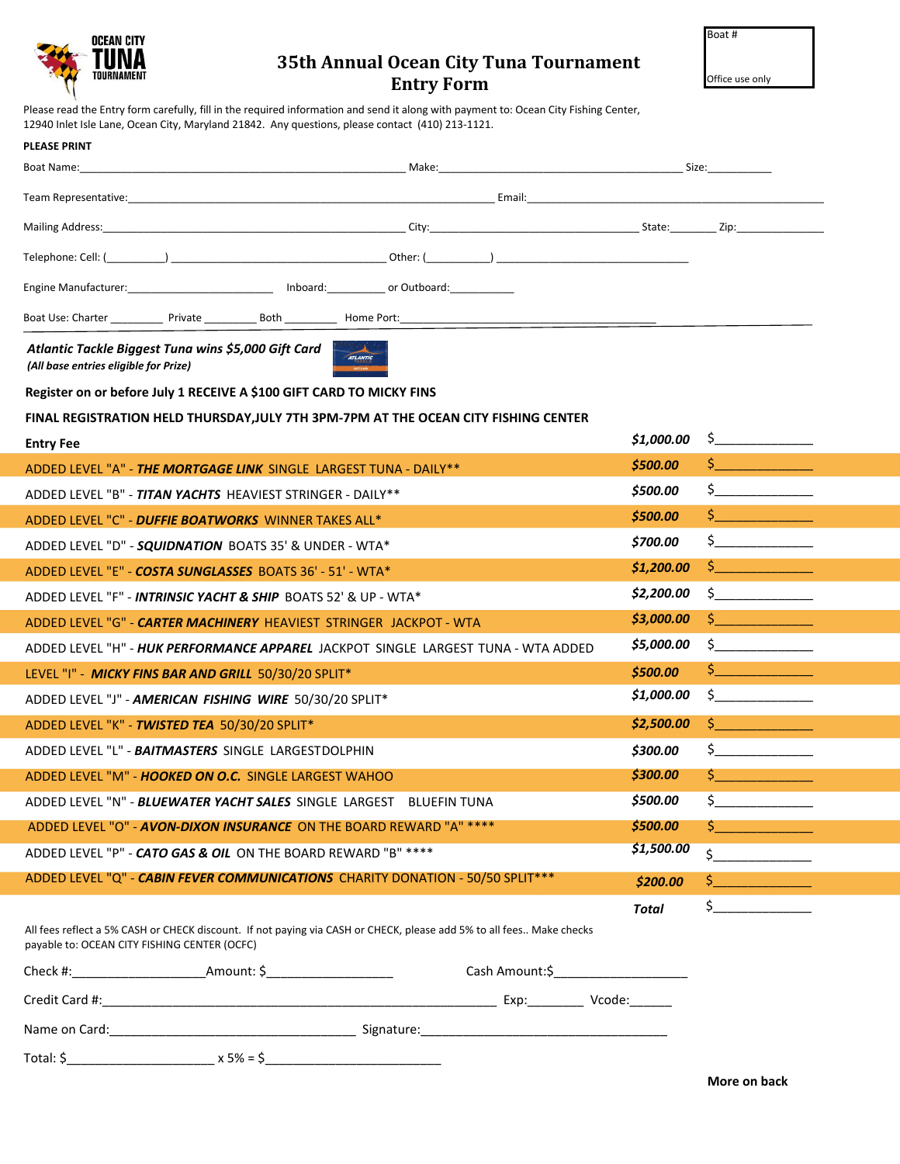| OCEAN CITY<br>TUNA<br>TOURNAMENT |
|----------------------------------|
|                                  |

## **35th Annual Ocean City Tuna Tournament Entry Form**

Office use only

Please read the Entry form carefully, fill in the required information and send it along with payment to: Ocean City Fishing Center, 12940 Inlet Isle Lane, Ocean City, Maryland 21842. Any questions, please contact (410) 213-1121.

| <b>PLEASE PRINT</b>                                                                                                                                                  |                |            |                                                                                                                                                                                                                                                                                                                                  |  |  |
|----------------------------------------------------------------------------------------------------------------------------------------------------------------------|----------------|------------|----------------------------------------------------------------------------------------------------------------------------------------------------------------------------------------------------------------------------------------------------------------------------------------------------------------------------------|--|--|
| Boat Name:                                                                                                                                                           |                |            |                                                                                                                                                                                                                                                                                                                                  |  |  |
|                                                                                                                                                                      |                |            |                                                                                                                                                                                                                                                                                                                                  |  |  |
|                                                                                                                                                                      |                |            |                                                                                                                                                                                                                                                                                                                                  |  |  |
|                                                                                                                                                                      |                |            |                                                                                                                                                                                                                                                                                                                                  |  |  |
| Engine Manufacturer: ___________________________ Inboard: _________ or Outboard: ________                                                                            |                |            |                                                                                                                                                                                                                                                                                                                                  |  |  |
|                                                                                                                                                                      |                |            |                                                                                                                                                                                                                                                                                                                                  |  |  |
| Atlantic Tackle Biggest Tuna wins \$5,000 Gift Card<br>(All base entries eligible for Prize)                                                                         | ATLANTIC       |            |                                                                                                                                                                                                                                                                                                                                  |  |  |
| Register on or before July 1 RECEIVE A \$100 GIFT CARD TO MICKY FINS                                                                                                 |                |            |                                                                                                                                                                                                                                                                                                                                  |  |  |
| FINAL REGISTRATION HELD THURSDAY, JULY 7TH 3PM-7PM AT THE OCEAN CITY FISHING CENTER                                                                                  |                |            |                                                                                                                                                                                                                                                                                                                                  |  |  |
| <b>Entry Fee</b>                                                                                                                                                     |                | \$1,000.00 | $\frac{1}{2}$                                                                                                                                                                                                                                                                                                                    |  |  |
| ADDED LEVEL "A" - THE MORTGAGE LINK SINGLE LARGEST TUNA - DAILY**                                                                                                    |                | \$500.00   |                                                                                                                                                                                                                                                                                                                                  |  |  |
| ADDED LEVEL "B" - TITAN YACHTS HEAVIEST STRINGER - DAILY**                                                                                                           |                | \$500.00   | $\mathsf{S}$ and $\mathsf{S}$                                                                                                                                                                                                                                                                                                    |  |  |
| ADDED LEVEL "C" - <i>DUFFIE BOATWORKS</i> WINNER TAKES ALL*                                                                                                          |                | \$500.00   |                                                                                                                                                                                                                                                                                                                                  |  |  |
| ADDED LEVEL "D" - SQUIDNATION BOATS 35' & UNDER - WTA*                                                                                                               |                | \$700.00   | $\zeta$                                                                                                                                                                                                                                                                                                                          |  |  |
| ADDED LEVEL "E" - COSTA SUNGLASSES BOATS 36' - 51' - WTA*                                                                                                            |                | \$1,200.00 | $\mathsf{S}$ , and the set of $\mathsf{S}$                                                                                                                                                                                                                                                                                       |  |  |
| ADDED LEVEL "F" - INTRINSIC YACHT & SHIP BOATS 52' & UP - WTA*                                                                                                       |                | \$2,200.00 | $\sharp$ and $\sharp$ and $\sharp$ and $\sharp$ and $\sharp$ and $\sharp$ and $\sharp$ and $\sharp$ and $\sharp$ and $\sharp$ and $\sharp$ and $\sharp$ and $\sharp$ and $\sharp$ and $\sharp$ and $\sharp$ and $\sharp$ and $\sharp$ and $\sharp$ and $\sharp$ and $\sharp$ and $\sharp$ and $\sharp$ and $\sharp$ and $\sharp$ |  |  |
| ADDED LEVEL "G" - <i>CARTER MACHINERY</i> HEAVIEST STRINGER JACKPOT - WTA                                                                                            |                | \$3,000.00 | $\mathsf{S}$ and the set of $\mathsf{S}$                                                                                                                                                                                                                                                                                         |  |  |
| ADDED LEVEL "H" - HUK PERFORMANCE APPAREL JACKPOT SINGLE LARGEST TUNA - WTA ADDED                                                                                    |                | \$5,000.00 | $\zeta$                                                                                                                                                                                                                                                                                                                          |  |  |
| LEVEL "I" - MICKY FINS BAR AND GRILL 50/30/20 SPLIT*                                                                                                                 |                | \$500.00   | $\frac{1}{2}$                                                                                                                                                                                                                                                                                                                    |  |  |
| ADDED LEVEL "J" - AMERICAN FISHING WIRE 50/30/20 SPLIT*                                                                                                              |                | \$1,000.00 | $\frac{1}{2}$                                                                                                                                                                                                                                                                                                                    |  |  |
| ADDED LEVEL "K" - TWISTED TEA 50/30/20 SPLIT*                                                                                                                        |                | \$2,500.00 | $\frac{1}{2}$                                                                                                                                                                                                                                                                                                                    |  |  |
| ADDED LEVEL "L" - BAITMASTERS SINGLE LARGESTDOLPHIN                                                                                                                  |                | \$300.00   | $\zeta$                                                                                                                                                                                                                                                                                                                          |  |  |
| ADDED LEVEL "M" - HOOKED ON O.C. SINGLE LARGEST WAHOO                                                                                                                |                | \$300.00   | $\mathsf{S}$ and the set of $\mathsf{S}$                                                                                                                                                                                                                                                                                         |  |  |
| ADDED LEVEL "N" - BLUEWATER YACHT SALES SINGLE LARGEST BLUEFIN TUNA                                                                                                  |                | \$500.00   | $\frac{1}{5}$                                                                                                                                                                                                                                                                                                                    |  |  |
| ADDED LEVEL "O" - AVON-DIXON INSURANCE ON THE BOARD REWARD "A" ****                                                                                                  |                | \$500.00   | $\zeta$ $\overline{\phantom{a}}$                                                                                                                                                                                                                                                                                                 |  |  |
| ADDED LEVEL "P" - CATO GAS & OIL ON THE BOARD REWARD "B" ****                                                                                                        |                | \$1,500.00 | $\dot{\mathsf{s}}$                                                                                                                                                                                                                                                                                                               |  |  |
| ADDED LEVEL "Q" - CABIN FEVER COMMUNICATIONS CHARITY DONATION - 50/50 SPLIT***                                                                                       |                | \$200.00   | $\frac{1}{2}$                                                                                                                                                                                                                                                                                                                    |  |  |
|                                                                                                                                                                      |                | Total      |                                                                                                                                                                                                                                                                                                                                  |  |  |
| All fees reflect a 5% CASH or CHECK discount. If not paying via CASH or CHECK, please add 5% to all fees Make checks<br>payable to: OCEAN CITY FISHING CENTER (OCFC) |                |            |                                                                                                                                                                                                                                                                                                                                  |  |  |
| Check #: Amount: \$                                                                                                                                                  | Cash Amount:\$ |            |                                                                                                                                                                                                                                                                                                                                  |  |  |
|                                                                                                                                                                      |                |            |                                                                                                                                                                                                                                                                                                                                  |  |  |
|                                                                                                                                                                      |                |            |                                                                                                                                                                                                                                                                                                                                  |  |  |
|                                                                                                                                                                      |                |            |                                                                                                                                                                                                                                                                                                                                  |  |  |
|                                                                                                                                                                      |                |            | More on back                                                                                                                                                                                                                                                                                                                     |  |  |